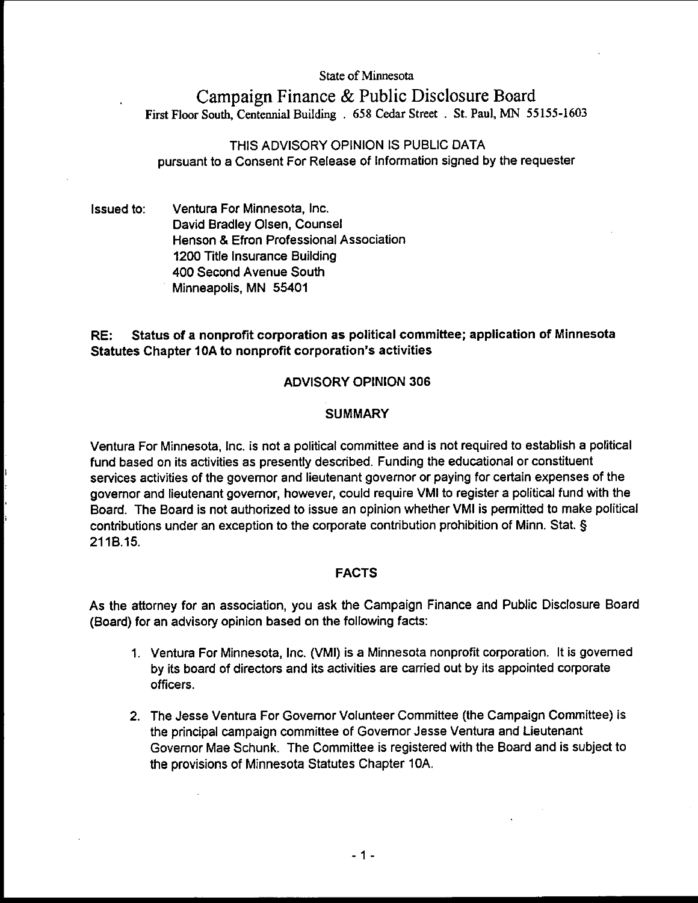#### State of Minnesota

# Campaign Finance & Public Disclosure Board First Floor South, Centennial **Building** . 658 Cedar Street . St. Paul, MN 55155-1603

## THIS ADVISORY OPINION IS PUBLIC DATA pursuant to a Consent For Release of Information signed by the requester

Issued to: Ventura For Minnesota. Inc. David Bradley Olsen, Counsel Henson & Efron Professional Association 1200 Title Insurance Building 400 Second Avenue South Minneapolis. MN 55401

## RE: Status of a nonprofit corporation as political committee; application of Minnesota Statutes Chapter 10A to nonprofit corporation's activities

## ADVISORY OPINION 306

## **SUMMARY**

Ventura For Minnesota, Inc. is not a political committee and is not required to establish a political fund based on its activities as presently described. Funding the educational or constituent services activities of the governor and lieutenant governor or paying for certain expenses of the govemor and lieutenant govemor, however, could require VMI to register a political fund with the Board. The Board is not authorized to issue an opinion whether VMI is permitted to make political contributions under an exception to the corporate contribution prohibition of Minn. Stat. **5**  211B.15.

## FACTS

As the attorney for an association, you ask the Campaign Finance and Public Disclosure Board (Board) for an advisory opinion based on the following facts:

- 1. Ventura For Minnesota, Inc. (VMI) is a Minnesota nonprofit corporation. It is governed by its board of directors and its activities are carried out by its appointed corporate officers.
- 2. The Jesse Ventura For Govemor Volunteer Committee (the Campaign Committee) is the principal campaign committee of Govemor Jesse Ventura and Lieutenant Governor Mae Schunk. The Committee is registered with the Board and is subject to the provisions of Minnesota Statutes Chapter 10A.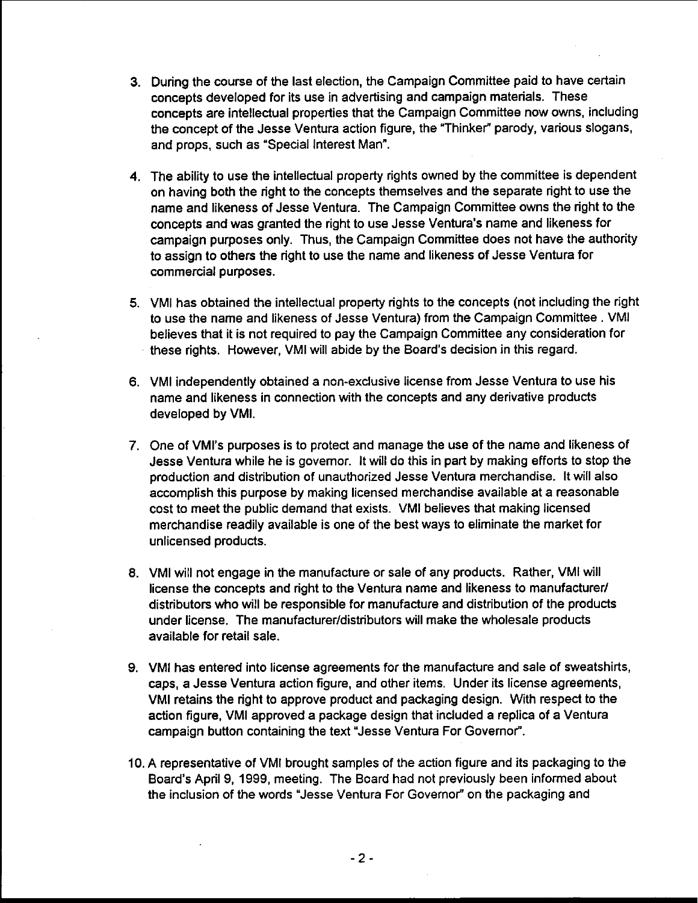- 3. During the course of the last election, the Campaign Committee paid to have certain concepts developed for its use in advertising and campaign materials. These concepts are intellectual properties that the Campaign Committee now owns, including the concept of the Jesse Ventura action figure, the "Thinker" parody, various slogans, and props, such as "Special Interest Man".
- 4. The ability to use the intellectual property rights owned by the committee is dependent on having both the right to the concepts themselves and the separate right to use the name and likeness of Jesse Ventura. The Campaign Committee owns the right to the concepts and was granted the right to use Jesse Ventura's name and likeness for campaign purposes only. Thus, the Campaign Committee does not have the authority to assign to others the right to use the name and likeness of Jesse Ventura for commercial purposes.
- 5. VMI has obtained the intellectual property rights to the concepts (not including the right to use the name and likeness of Jesse Ventura) from the Campaign Committee . VMI believes that it is not required to pay the Campaign Committee any consideration for these rights. However, VMI will abide by the Board's decision in this regard.
- 6. VMI independently obtained a non-exclusive license from Jesse Ventura to use his name and likeness in connection with the concepts and any derivative products developed by VMI.
- 7. One of VMl's purposes is to protect and manage the use of the name and likeness of Jesse Ventura while he is governor. It will do this in part by making efforts to stop the production and distribution of unauthorized Jesse Ventura merchandise. It will also accomplish this purpose by making licensed merchandise available at a reasonable cost to meet the public demand that exists. VMI believes that making licensed merchandise readily available is one of the best ways to eliminate the market for unlicensed products.
- 8. VMI will not engage in the manufacture or sale of any products. Rather, VMI will license the concepts and right to the Ventura name and likeness to manufacturer/ distributors who will be responsible for manufacture and distribution of the products under license. The **manufacturer/distributors** will make the wholesale products available for retail sale.
- 9. VMI has entered into license agreements for the manufacture and sale of sweatshirts, caps, a Jesse Ventura action figure, and other items. Under its license agreements, VMI retains the right to approve product and packaging design. With respect to the action figure. VMI approved a package design that included a replica of a Ventura campaign button containing the text "Jesse Ventura For Governor".
- 10. A representative of VMI brought samples of the action figure and its packaging to the Board's April 9, 1999, meeting. The Board had not previously been informed about the inclusion of the words "Jesse Ventura For Governor" on the packaging and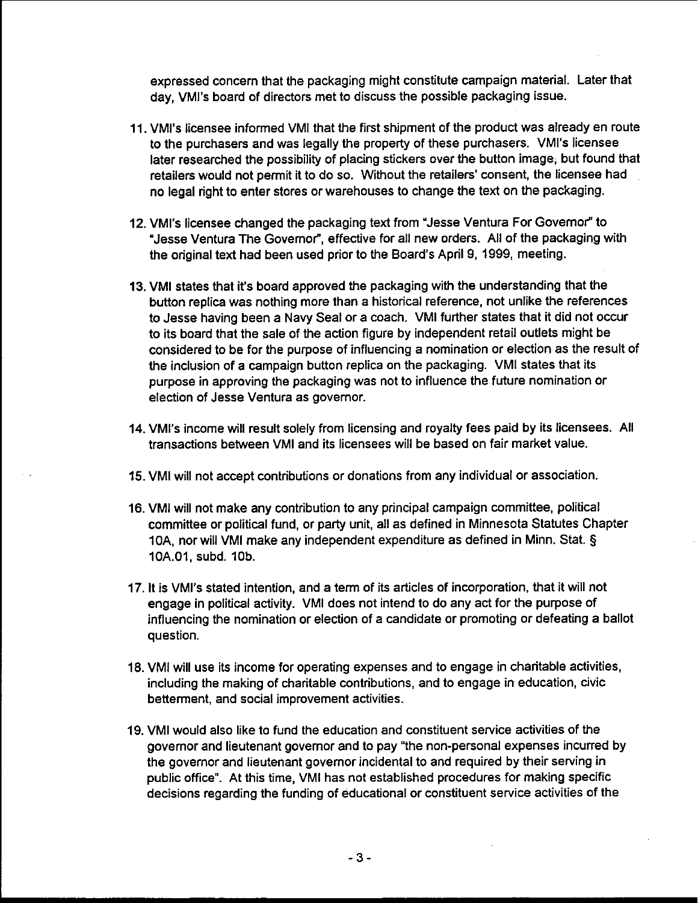expressed concern that the packaging might constitute campaign material. Later that day, VMl's board of directors met to discuss the possible packaging issue.

- 11. VMl's licensee informed VMI that the first shipment of the product was already en route to the purchasers and was legally the property of these purchasers. VMl's licensee later researched the possibility of placing stickers over the button image, but found that retailers would not permit it to do so. Without the retailers' consent, the licensee had no legal right to enter stores or warehouses to change the text on the packaging.
- 12. VMl's licensee changed the packaging text from "Jesse Ventura For Governor" to "Jesse Ventura The Governor", effective for all new orders. All of the packaging with the original text had been used prior to the Board's April 9, 1999, meeting.
- 13. VMI states that it's board approved the packaging with the understanding that the button replica was nothing more than a historical reference, not unlike the references to Jesse having been a Navy Seal or a coach. VMI further states that it did not occur to its board that the sale of the action figure by independent retail outlets might be considered to be for the purpose of influencing a nomination or election as the result of the inclusion of a campaign button replica on the packaging. VMI states that its purpose in approving the packaging was not to influence the future nomination or election of Jesse Ventura as governor.
- 14. VMl's income will result solely from licensing and royalty fees paid by its licensees. All transactions between VMI and its licensees will be based on fair market value.
- 15. VMI will not accept contributions or donations from any individual or association.
- 16. VMI will not make any contribution to any principal campaign committee, political committee or political fund, or party unit, all as defined in Minnesota Statutes Chapter 10A, nor will VMI make any independent expenditure as defined in Minn. Stat. § 10A.01, subd. 10b.
- 17. It is VMl's stated intention, and a term of its articles of incorporation, that it will not engage in political activity. VMI does not intend to do any act for the purpose of influencing the nomination or election of a candidate or promoting or defeating a ballot question.
- 18. VMI will use its income for operating expenses and to engage in charitable activities, including the making of charitable contributions, and to engage in education, civic betterment, and social improvement activities.
- 19. VMI would also like to fund the education and constituent service activities of the governor and lieutenant governor and to pay "the non-personal expenses incurred by the governor and lieutenant governor incidental to and required by their serving in public office". At this time, VMI has not established procedures for making specific decisions regarding the funding of educational or constituent service activities of the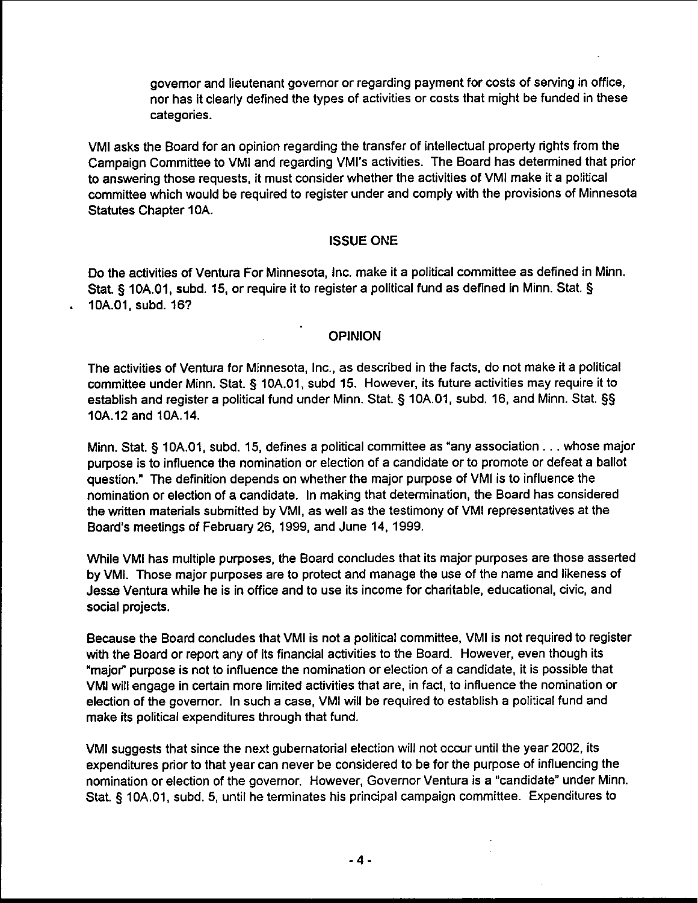governor and lieutenant governor or regarding payment for costs of serving in office, nor has it clearly defined the types of activities or costs that might be funded in these categories.

VMI asks the Board for an opinion regarding the transfer of intellectual property rights from the Campaign Committee to VMI and regarding VMl's activities. The Board has determined that prior to answering those requests, it must consider whether the activities of VMI make it a political committee which would be required to register under and comply with the provisions of Minnesota Statutes Chapter 10A.

ISSUE ONE<br>International Contract of the Contract of the Contract of the Contract of the Contract of the Contract of the<br>International Contract of the Contract of the Contract of the Contract of the Contract of the Contract Do the activities of Ventura For Minnesota, Inc. make it a political committee as defined in Minn. Stat. **5** 10A.O1, subd. 15, or require it to register a political fund as defined in Minn. Stat. **<sup>5</sup>**. 10A.01, subd. 167

**I** OPINION<br>I Constitution of the constitution of the constitution of the constitution of the constitution of the constitution<br>I Constitution of the constitution of the constitution of the constitution of the constitution The activities of Ventura for Minnesota, Inc., as described in the facts, do not make it a political committee under Minn. Stat. **5** 10A.O1, subd 15. However, its future activities may require it to establish and register a political fund under Minn. Stat. **5** 10A.O1, subd. 16, and Minn. Stat. **55**  10A.12 and 10A.14.

> Minn. Stat. **5** lOA.01, subd. 15, defines a political committee as 'any association . . . whose major purpose is to influence the nomination or election of a candidate or to promote or defeat a ballot question." The definition depends on whether the major purpose of VMI is to influence the nomination or election of a candidate. In making that determination, the Board has considered the written materials submitted by VMI, as well as the testimony of VMI representatives at the Board's meetings of February 26, 1999, and June 14, 1999.

> While VMI has multiple purposes, the Board concludes that its major purposes are those asserted by VMI. Those major purposes are to protect and manage the use of the name and likeness of Jesse Ventura while he is in office and to use its income for charitable, educational, civic, and social projects.

> Because the Board concludes that VMI is not a political committee, VMI is not required to register with the Board or report any of its financial activities to the Board. However, even though its 'major" purpose is not to influence the nomination or election of a candidate, it is possible that VMI will engage in certain more limited activities that are, in fact, to influence the nomination or election of the governor. In such a case, VMI will be required to establish a political fund and make its political expenditures through that fund.

> VMI suggests that since the next gubernatorial election will not occur until the year 2002, its expenditures prior to that year can never be considered to be for the purpose of influencing the nomination or election of the governor. However, Governor Ventura is a "candidate" under Minn. Stat. **5** 10A.O1, subd. 5, until he terminates his principal campaign committee. Expenditures to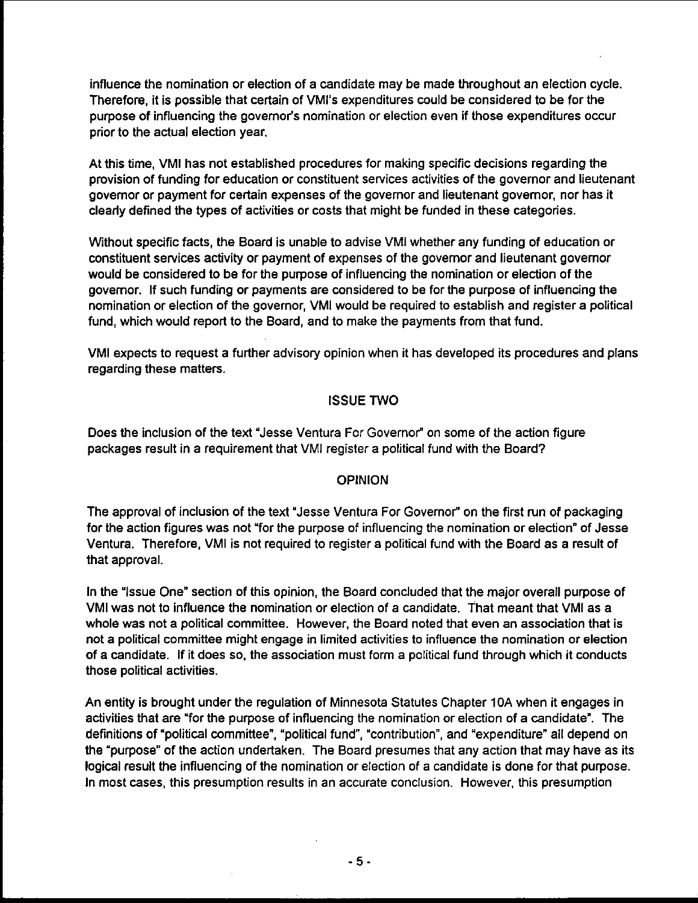influence the nomination or election of a candidate may be made throughout an election cycle. Therefore, it is possible that certain of VMI's expenditures could be considered to be for the purpose of influencing the governor's nomination or election even if those expenditures occur prior to the actual election year.

At this time, VMI has not established procedures for making specific decisions regarding the provision of funding for education or constituent services activities of the governor and lieutenant governor or payment for certain expenses of the governor and lieutenant governor, nor has it clearly defined the types of activities or costs that might be funded in these categories.

Without specific facts, the Board is unable to advise VMI whether any funding of education or constituent services activity or payment of expenses of the governor and lieutenant governor would be considered to be for the purpose of influencing the nomination or election of the governor. If such funding or payments are considered to be for the purpose of influencing the nomination or election of the governor, VMI would be required to establish and register a political fund, which would report to the Board, and to make the payments from that fund.

VMI expects to request a further advisory opinion when it has developed its procedures and plans regarding these matters.

## ISSUE TWO

Does the inclusion of the text 'Jesse Ventura For Governor" on some of the action figure packages result in a requirement that VMI register a political fund with the Board?

## **OPINION**

The approval of inclusion of the text 'Jesse Ventura For Governor" on the first run of packaging for the action figures was not "for the purpose of influencing the nomination or election" of Jesse Ventura. Therefore, VMI is not required to register a political fund with the Board as a result of that approval.

In the "Issue One" section of this opinion, the Board concluded that the major overall purpose of VMI was not to influence the nomination or election of a candidate. That meant that VMI as a whole was not a political committee. However, the Board noted that even an association that is not a political committee might engage in limited activities to influence the nomination or election of a candidate. If it does so, the association must form a political fund through which it conducts those political activities.

An entity is brought under the regulation of Minnesota Statutes Chapter 10A when it engages in activities that are "for the purpose of influencing the nomination or election of a candidate". The definitions of "political committee", "political fund", 'contribution", and "expenditure" all depend on the "purpose" of the action undertaken. The Board presumes that any action that may have as its logical result the influencing of the nomination or election of a candidate is done for that purpose. In most cases, this presumption results in an accurate conclusion. However, this presumption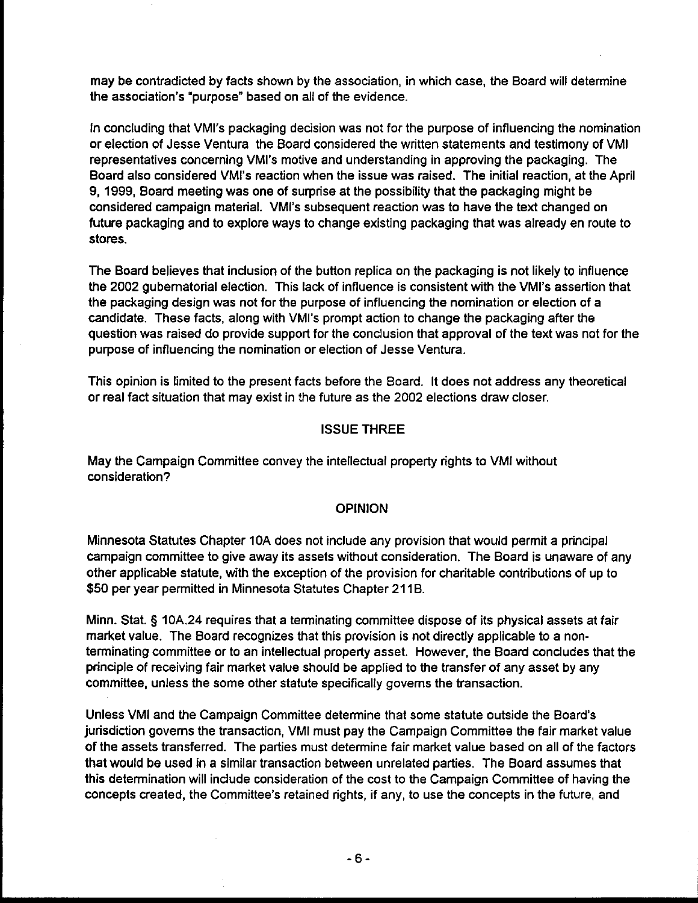may be contradicted by facts shown by the association, in which case, the Board will determine the association's "purpose" based on all of the evidence.

In concluding that VMl's packaging decision was not for the purpose of influencing the nomination or election of Jesse Ventura the Board considered the written statements and testimony of VMI representatives concerning VMl's motive and understanding in approving the packaging. The Board also considered VMl's reaction when the issue was raised. The initial reaction, at the April 9, 1999, Board meeting was one of surprise at the possibility that the packaging might be considered campaign material. VMl's subsequent reaction was to have the text changed on future packaging and to explore ways to change existing packaging that was already en route to stores.

The Board believes that inclusion of the button replica on the packaging is not likely to influence the 2002 gubernatorial election. This lack of influence is consistent with the VMl's assertion that the packaging design was not for the purpose of influencing the nomination or election of a candidate. These facts, along with VMl's prompt action to change the packaging after the question was raised do provide support for the conclusion that approval of the text was not for the purpose of influencing the nomination or election of Jesse Ventura.

This opinion is limited to the present facts before the Board. It does not address any theoretical or real fact situation that may exist in the future as the 2002 elections draw closer.

### ISSUE THREE

May the Campaign Committee convey the intellectual property rights to VMI without consideration?

#### **OPINION**

Minnesota Statutes Chapter 10A does not include any provision that would permit a principal campaign committee to give away its assets without consideration. The Board is unaware of any other applicable statute, with the exception of the provision for charitable contributions of up to \$50 per year permitted in Minnesota Statutes Chapter 21 18.

Minn. Stat. **5** 10A.24 requires that a terminating committee dispose of its physical assets at fair market value. The Board recognizes that this provision is not directly applicable to a nonterminating committee or to an intellectual property asset. However, the Board concludes that the principle of receiving fair market value should be applied to the transfer of any asset by any committee, unless the some other statute specifically governs the transaction.

Unless VMI and the Campaign Committee determine that some statute outside the Board's jurisdiction governs the transaction, VMI must pay the Campaign Committee the fair market value of the assets transferred. The parties must determine fair market value based on all of the factors that would be used in a similar transaction between unrelated parties. The Board assumes that this determination will include consideration of the cost to the Campaign Committee of having the concepts created, the Committee's retained rights, if any, to use the concepts in the future, and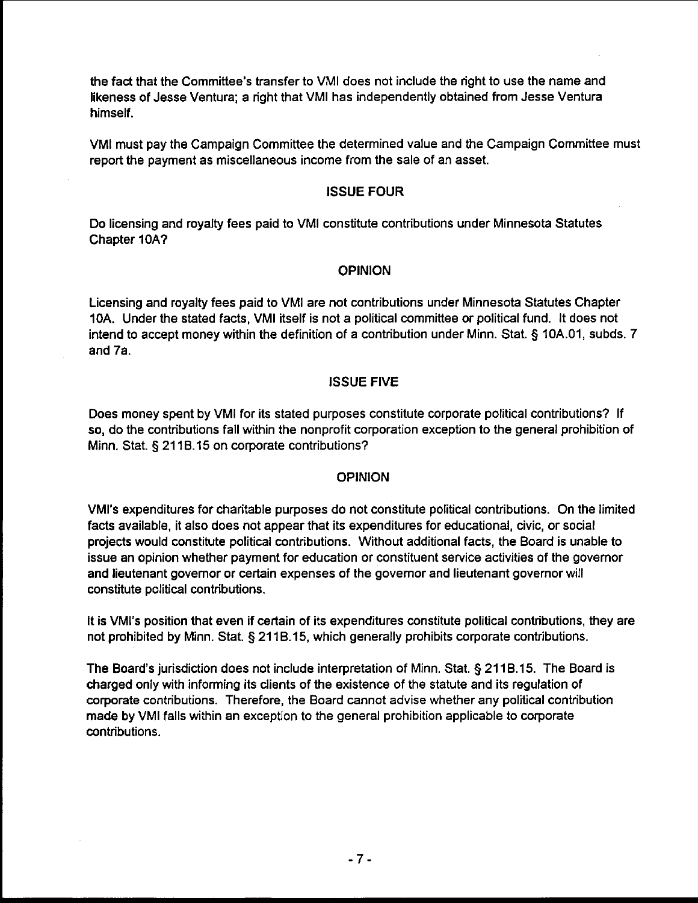the fact that the Committee's transfer to VMI does not include the right to use the name and likeness of Jesse Ventura; a right that VMI has independently obtained from Jesse Ventura himself.

VMI must pay the Campaign Committee the determined value and the Campaign Committee must report the payment as miscellaneous income from the sale of an asset.

## ISSUE FOUR

Do licensing and royalty fees paid to VMI constitute contributions under Minnesota Statutes Chapter IOA?

### OPINION

Licensing and royalty fees paid to VMI are not contributions under Minnesota Statutes Chapter 10A. Under the stated facts, VMI itself is not a political committee or political fund. It does not intend to accept money within the definition of a contribution under Minn. Stat. § 10A.O1, subds. 7 and 7a.

### ISSUE FIVE

Does money spent by VMI for its stated purposes constitute corporate political contributions? If so, do the contributions fall within the nonprofit corporation exception to the general prohibition of Minn. Stat. § 211B.15 on corporate contributions?

#### OPINION

VMl's expenditures for charitable purposes do not constitute political contributions. On the limited facts available, it also does not appear that its expenditures for educational, civic, or social projects would constitute political contributions. Without additional facts, the Board is unable to issue an opinion whether payment for education or constituent service activities of the governor and lieutenant govemor or certain expenses of the govemor and lieutenant governor will constitute political contributions.

It is VMl's position that even if certain of its expenditures constitute political contributions, they are not prohibited by Minn. Stat. § 21 18.15, which generally prohibits corporate contributions.

The Board's jurisdiction does not include interpretation of Minn. Stat. § 21 18.15. The Board is charged only with informing its clients of the existence of the statute and its regulation of corporate contributions. Therefore, the Board cannot advise whether any political contribution made by VMI falls within an exception to the general prohibition applicable to corporate contributions.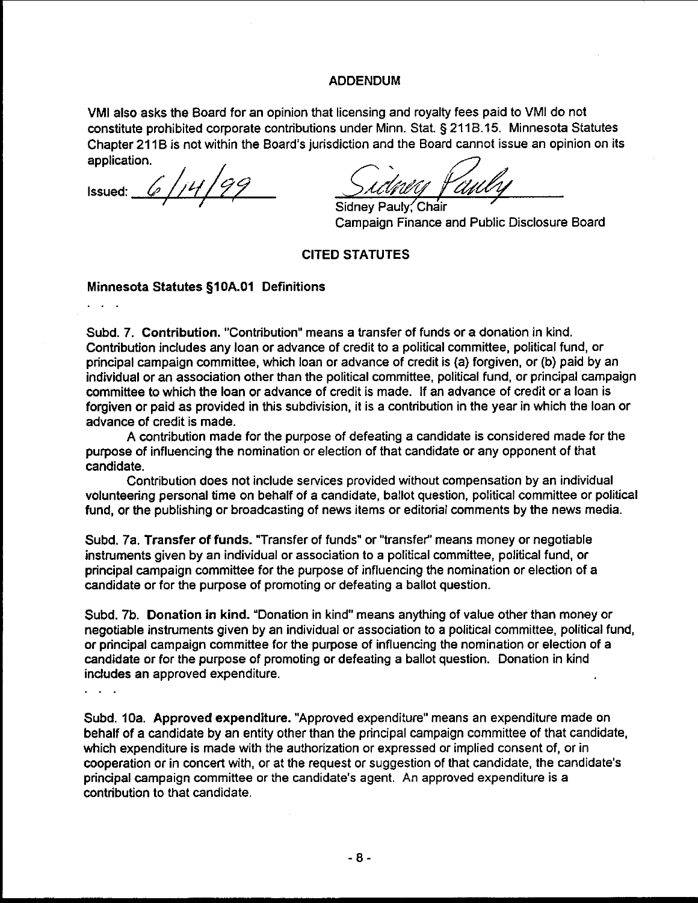#### ADDENDUM

VMI also asks the Board for an opinion that licensing and royalty fees paid to VMI do not constitute prohibited corporate contributions under Minn. Stat. § 2118.15. Minnesota Statutes Chapter 21 1B is not within the Board's jurisdiction and the Board cannot issue an opinion on its application.

 $6/14/$ Issued:

Campaign Finance and Public Disclosure Board

#### CITED STATUTES

## Minnesota Statutes **glOA.01** Definitions ...

Subd. 7. Contribution. "Contribution" means a transfer of funds or a donation in kind. Contribution includes any loan or advance of credit to a political committee, political fund, or principal campaign committee, which loan or advance of credit is (a) forgiven, or (b) paid by an individual or an association other than the political committee, political fund, or principal campaign committee to which the loan or advance of credit is made. If an advance of credit or a loan is forgiven or paid as provided in this subdivision, it is a contribution in the year in which the loan or advance of credit is made.

A contribution made for the purpose of defeating a candidate is considered made for the purpose of influencing the nomination or election of that candidate or any opponent of that candidate.

Contribution does not include services provided without compensation by an individual volunteering personal time on behalf of a candidate, ballot question, political committee or political fund, or the publishing or broadcasting of news items or editorial comments by the news media.

Subd. 7a. Transfer of funds. "Transfer of funds" or "transfet' means money or negotiable instruments given by an individual or association to a political committee, political fund, or principal campaign committee for the purpose of influencing the nomination or election of a candidate or for the purpose of promoting or defeating a ballot question.

Subd. 7b. Donation in kind. "Donation in kind" means anything of value other than money or negotiable instruments given by an individual or association to a political committee, political fund, or principal campaign committee for the purpose of influencing the nomination or election of a candidate or for the purpose of promoting or defeating a ballot question. Donation in kind indudes an approved expenditure.

Subd. 10a. Approved expenditure. "Approved expenditure" means an expenditure made on behalf of a candidate by an entity other than the principal campaign committee of that candidate, which expenditure is made with the authorization or expressed or implied consent of, or in cooperation or in concert with, or at the request or suggestion of that candidate, the candidate's principal campaign committee or the candidate's agent. An approved expenditure is a contribution to that candidate.